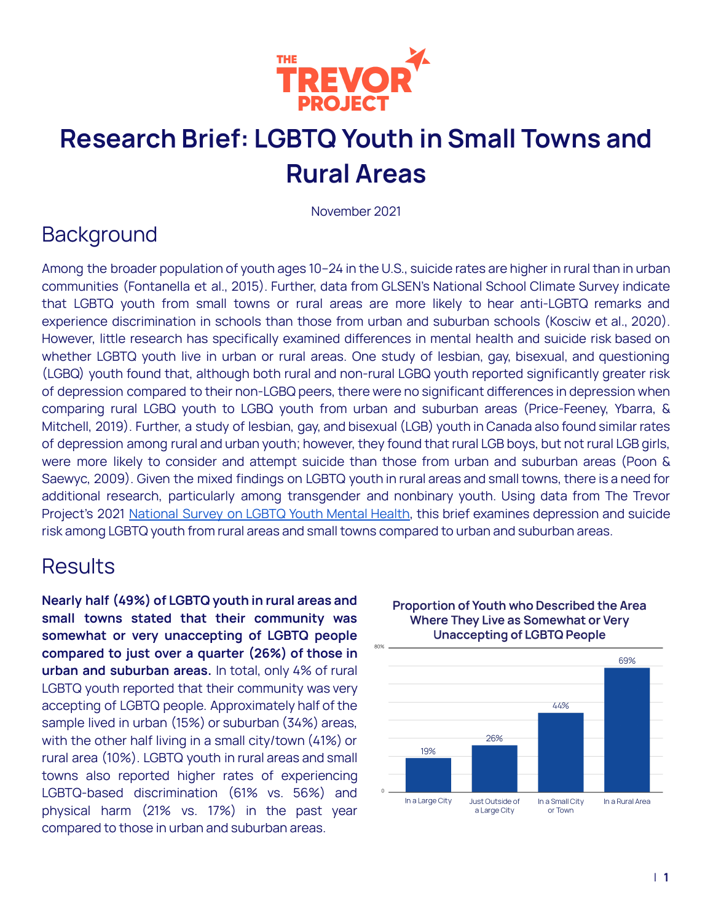

## **Research Brief: LGBTQ Youth in Small Towns and Rural Areas**

November 2021

## **Background**

Among the broader population of youth ages 10–24 in the U.S., suicide rates are higher in rural than in urban communities (Fontanella et al., 2015). Further, data from GLSEN's National School Climate Survey indicate that LGBTQ youth from small towns or rural areas are more likely to hear anti-LGBTQ remarks and experience discrimination in schools than those from urban and suburban schools (Kosciw et al., 2020). However, little research has specifically examined differences in mental health and suicide risk based on whether LGBTQ youth live in urban or rural areas. One study of lesbian, gay, bisexual, and questioning (LGBQ) youth found that, although both rural and non-rural LGBQ youth reported significantly greater risk of depression compared to their non-LGBQ peers, there were no significant differences in depression when comparing rural LGBQ youth to LGBQ youth from urban and suburban areas (Price-Feeney, Ybarra, & Mitchell, 2019). Further, a study of lesbian, gay, and bisexual (LGB) youth in Canada also found similar rates of depression among rural and urban youth; however, they found that rural LGB boys, but not rural LGB girls, were more likely to consider and attempt suicide than those from urban and suburban areas (Poon & Saewyc, 2009). Given the mixed findings on LGBTQ youth in rural areas and small towns, there is a need for additional research, particularly among transgender and nonbinary youth. Using data from The Trevor Project's 2021 [National](https://www.thetrevorproject.org/survey-2021/) Survey on LGBTQ Youth Mental Health, this brief examines depression and suicide risk among LGBTQ youth from rural areas and small towns compared to urban and suburban areas.

### **Results**

**Nearly half (49%) of LGBTQ youth in rural areas and small towns stated that their community was somewhat or very unaccepting of LGBTQ people compared to just over a quarter (26%) of those in urban and suburban areas.** In total, only 4% of rural LGBTQ youth reported that their community was very accepting of LGBTQ people. Approximately half of the sample lived in urban (15%) or suburban (34%) areas, with the other half living in a small city/town (41%) or rural area (10%). LGBTQ youth in rural areas and small towns also reported higher rates of experiencing LGBTQ-based discrimination (61% vs. 56%) and physical harm (21% vs. 17%) in the past year compared to those in urban and suburban areas.



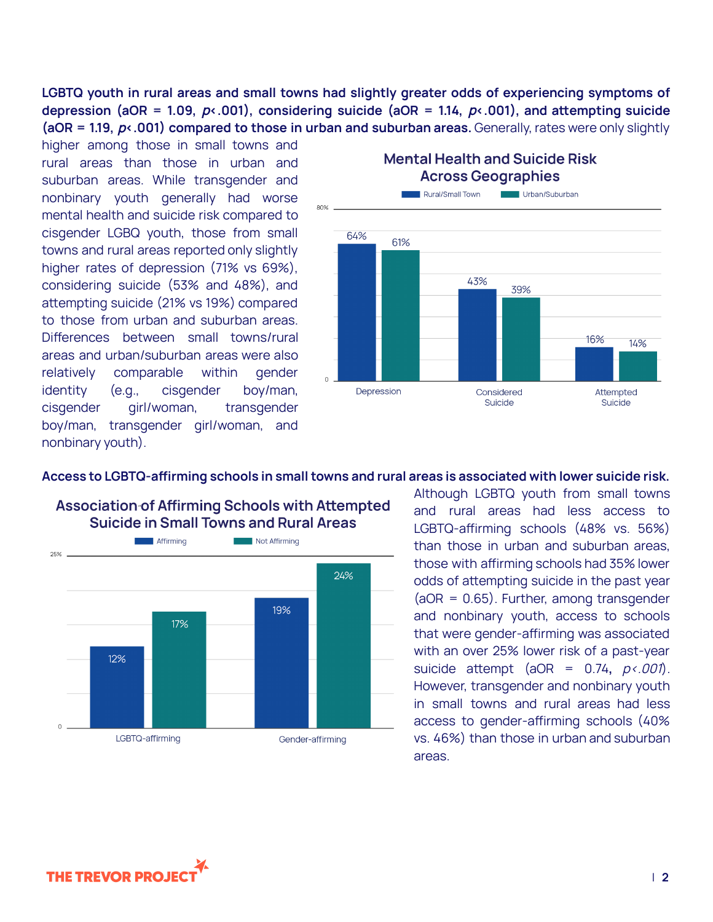**LGBTQ youth in rural areas and small towns had slightly greater odds of experiencing symptoms of depression (aOR = 1.09,** p**<.001), considering suicide (aOR = 1.14,** p**<.001), and attempting suicide (aOR = 1.19,** p**<.001) compared to those in urban and suburban areas.** Generally, rates were only slightly

higher among those in small towns and rural areas than those in urban and suburban areas. While transgender and nonbinary youth generally had worse mental health and suicide risk compared to cisgender LGBQ youth, those from small towns and rural areas reported only slightly higher rates of depression (71% vs 69%), considering suicide (53% and 48%), and attempting suicide (21% vs 19%) compared to those from urban and suburban areas. Differences between small towns/rural areas and urban/suburban areas were also relatively comparable within gender identity (e.g., cisgender boy/man, cisgender girl/woman, transgender boy/man, transgender girl/woman, and nonbinary youth).

**Across Geographies** Rural/Small Town Urban/Suburban  $R<sub>0</sub>$ % 64% 61% 43% 39% 16% 14% Depression Considered Attempted Suicide Suicide

# **Mental Health and Suicide Risk**





Although LGBTQ youth from small towns and rural areas had less access to LGBTQ-affirming schools (48% vs. 56%) than those in urban and suburban areas, those with affirming schools had 35% lower odds of attempting suicide in the past year  $(aOR = 0.65)$ . Further, among transgender and nonbinary youth, access to schools that were gender-affirming was associated with an over 25% lower risk of a past-year suicide attempt (aOR = 0.74**,** p<.001). However, transgender and nonbinary youth in small towns and rural areas had less access to gender-affirming schools (40% vs. 46%) than those in urban and suburban areas.

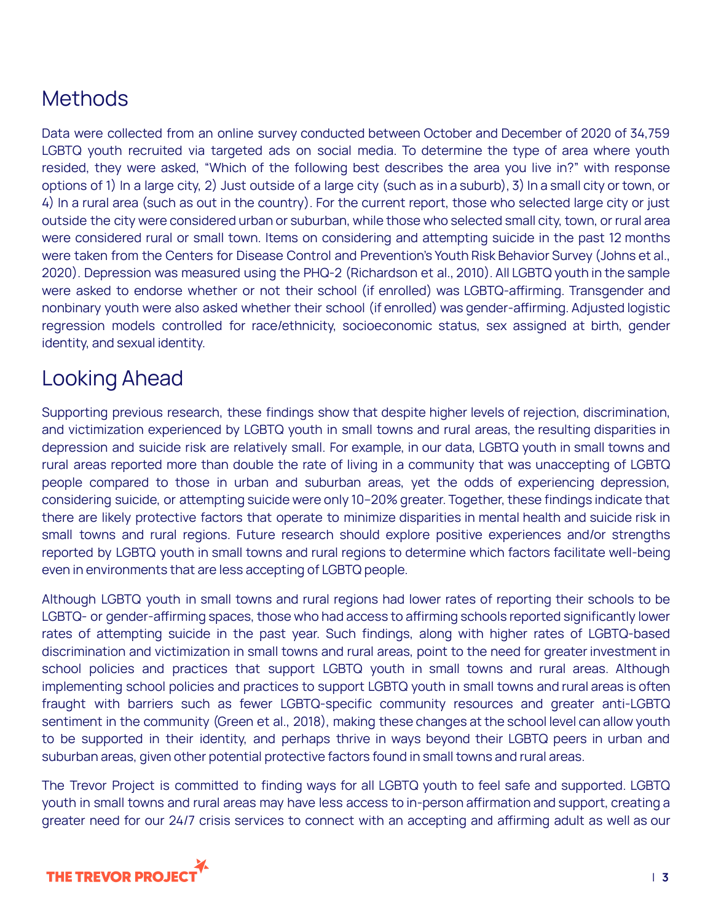## **Methods**

Data were collected from an online survey conducted between October and December of 2020 of 34,759 LGBTQ youth recruited via targeted ads on social media. To determine the type of area where youth resided, they were asked, "Which of the following best describes the area you live in?" with response options of 1) In a large city, 2) Just outside of a large city (such as in a suburb), 3) In a small city or town, or 4) In a rural area (such as out in the country). For the current report, those who selected large city or just outside the city were considered urban or suburban, while those who selected small city, town, or rural area were considered rural or small town. Items on considering and attempting suicide in the past 12 months were taken from the Centers for Disease Control and Prevention's Youth Risk Behavior Survey (Johns et al., 2020). Depression was measured using the PHQ-2 (Richardson et al., 2010). All LGBTQ youth in the sample were asked to endorse whether or not their school (if enrolled) was LGBTQ-affirming. Transgender and nonbinary youth were also asked whether their school (if enrolled) was gender-affirming. Adjusted logistic regression models controlled for race/ethnicity, socioeconomic status, sex assigned at birth, gender identity, and sexual identity.

## Looking Ahead

Supporting previous research, these findings show that despite higher levels of rejection, discrimination, and victimization experienced by LGBTQ youth in small towns and rural areas, the resulting disparities in depression and suicide risk are relatively small. For example, in our data, LGBTQ youth in small towns and rural areas reported more than double the rate of living in a community that was unaccepting of LGBTQ people compared to those in urban and suburban areas, yet the odds of experiencing depression, considering suicide, or attempting suicide were only 10–20% greater. Together, these findings indicate that there are likely protective factors that operate to minimize disparities in mental health and suicide risk in small towns and rural regions. Future research should explore positive experiences and/or strengths reported by LGBTQ youth in small towns and rural regions to determine which factors facilitate well-being even in environments that are less accepting of LGBTQ people.

Although LGBTQ youth in small towns and rural regions had lower rates of reporting their schools to be LGBTQ- or gender-affirming spaces, those who had access to affirming schools reported significantly lower rates of attempting suicide in the past year. Such findings, along with higher rates of LGBTQ-based discrimination and victimization in small towns and rural areas, point to the need for greater investment in school policies and practices that support LGBTQ youth in small towns and rural areas. Although implementing school policies and practices to support LGBTQ youth in small towns and rural areas is often fraught with barriers such as fewer LGBTQ-specific community resources and greater anti-LGBTQ sentiment in the community (Green et al., 2018), making these changes at the school level can allow youth to be supported in their identity, and perhaps thrive in ways beyond their LGBTQ peers in urban and suburban areas, given other potential protective factors found in small towns and rural areas.

The Trevor Project is committed to finding ways for all LGBTQ youth to feel safe and supported. LGBTQ youth in small towns and rural areas may have less access to in-person affirmation and support, creating a greater need for our 24/7 crisis services to connect with an accepting and affirming adult as well as our